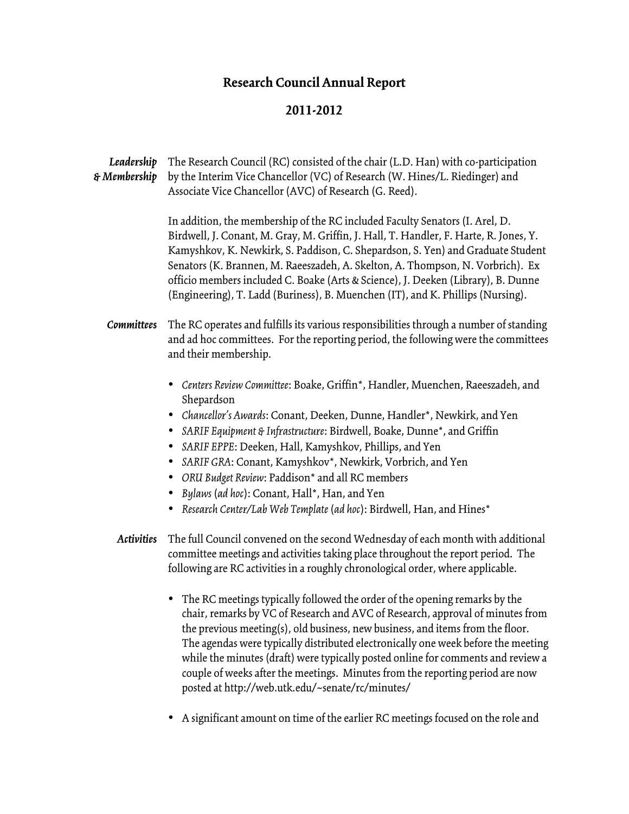## **Research Council Annual Report**

## **2011-2012**

| Leadership<br>& Membership | The Research Council (RC) consisted of the chair (L.D. Han) with co-participation<br>by the Interim Vice Chancellor (VC) of Research (W. Hines/L. Riedinger) and<br>Associate Vice Chancellor (AVC) of Research (G. Reed).                                                                                                                                                                                                                                                                                                                                                         |
|----------------------------|------------------------------------------------------------------------------------------------------------------------------------------------------------------------------------------------------------------------------------------------------------------------------------------------------------------------------------------------------------------------------------------------------------------------------------------------------------------------------------------------------------------------------------------------------------------------------------|
|                            | In addition, the membership of the RC included Faculty Senators (I. Arel, D.<br>Birdwell, J. Conant, M. Gray, M. Griffin, J. Hall, T. Handler, F. Harte, R. Jones, Y.<br>Kamyshkov, K. Newkirk, S. Paddison, C. Shepardson, S. Yen) and Graduate Student<br>Senators (K. Brannen, M. Raeeszadeh, A. Skelton, A. Thompson, N. Vorbrich). Ex<br>officio members included C. Boake (Arts & Science), J. Deeken (Library), B. Dunne<br>(Engineering), T. Ladd (Buriness), B. Muenchen (IT), and K. Phillips (Nursing).                                                                 |
| Committees                 | The RC operates and fulfills its various responsibilities through a number of standing<br>and ad hoc committees. For the reporting period, the following were the committees<br>and their membership.                                                                                                                                                                                                                                                                                                                                                                              |
|                            | • Centers Review Committee: Boake, Griffin*, Handler, Muenchen, Raeeszadeh, and<br>Shepardson<br>Chancellor's Awards: Conant, Deeken, Dunne, Handler*, Newkirk, and Yen<br>SARIF Equipment & Infrastructure: Birdwell, Boake, Dunne*, and Griffin<br>SARIF EPPE: Deeken, Hall, Kamyshkov, Phillips, and Yen<br>SARIF GRA: Conant, Kamyshkov*, Newkirk, Vorbrich, and Yen<br>$\bullet$<br>ORU Budget Review: Paddison* and all RC members<br>٠<br>Bylaws (ad hoc): Conant, Hall*, Han, and Yen<br>$\bullet$<br>Research Center/Lab Web Template (ad hoc): Birdwell, Han, and Hines* |
| <b>Activities</b>          | The full Council convened on the second Wednesday of each month with additional<br>committee meetings and activities taking place throughout the report period. The<br>following are RC activities in a roughly chronological order, where applicable.                                                                                                                                                                                                                                                                                                                             |
|                            | • The RC meetings typically followed the order of the opening remarks by the<br>chair, remarks by VC of Research and AVC of Research, approval of minutes from<br>the previous meeting(s), old business, new business, and items from the floor.<br>The agendas were typically distributed electronically one week before the meeting<br>while the minutes (draft) were typically posted online for comments and review a<br>couple of weeks after the meetings. Minutes from the reporting period are now<br>posted at http://web.utk.edu/~senate/rc/minutes/                     |

• A significant amount on time of the earlier RC meetings focused on the role and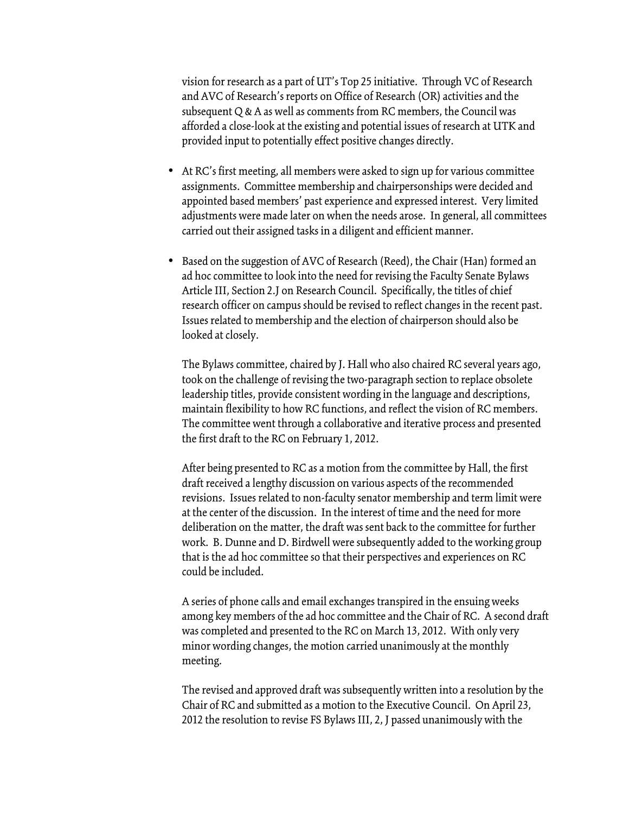vision for research as a part of UT's Top 25 initiative. Through VC of Research and AVC of Research's reports on Office of Research (OR) activities and the subsequent Q & A as well as comments from RC members, the Council was afforded a close-look at the existing and potential issues of research at UTK and provided input to potentially effect positive changes directly.

- At RC's first meeting, all members were asked to sign up for various committee assignments. Committee membership and chairpersonships were decided and appointed based members' past experience and expressed interest. Very limited adjustments were made later on when the needs arose. In general, all committees carried out their assigned tasks in a diligent and efficient manner.
- Based on the suggestion of AVC of Research (Reed), the Chair (Han) formed an ad hoc committee to look into the need for revising the Faculty Senate Bylaws Article III, Section 2.J on Research Council. Specifically, the titles of chief research officer on campus should be revised to reflect changes in the recent past. Issues related to membership and the election of chairperson should also be looked at closely.

The Bylaws committee, chaired by J. Hall who also chaired RC several years ago, took on the challenge of revising the two-paragraph section to replace obsolete leadership titles, provide consistent wording in the language and descriptions, maintain flexibility to how RC functions, and reflect the vision of RC members. The committee went through a collaborative and iterative process and presented the first draft to the RC on February 1, 2012.

After being presented to RC as a motion from the committee by Hall, the first draft received a lengthy discussion on various aspects of the recommended revisions. Issues related to non-faculty senator membership and term limit were at the center of the discussion. In the interest of time and the need for more deliberation on the matter, the draft was sent back to the committee for further work. B. Dunne and D. Birdwell were subsequently added to the working group that is the ad hoc committee so that their perspectives and experiences on RC could be included.

A series of phone calls and email exchanges transpired in the ensuing weeks among key members of the ad hoc committee and the Chair of RC. A second draft was completed and presented to the RC on March 13, 2012. With only very minor wording changes, the motion carried unanimously at the monthly meeting.

The revised and approved draft was subsequently written into a resolution by the Chair of RC and submitted as a motion to the Executive Council. On April 23, 2012 the resolution to revise FS Bylaws III, 2, J passed unanimously with the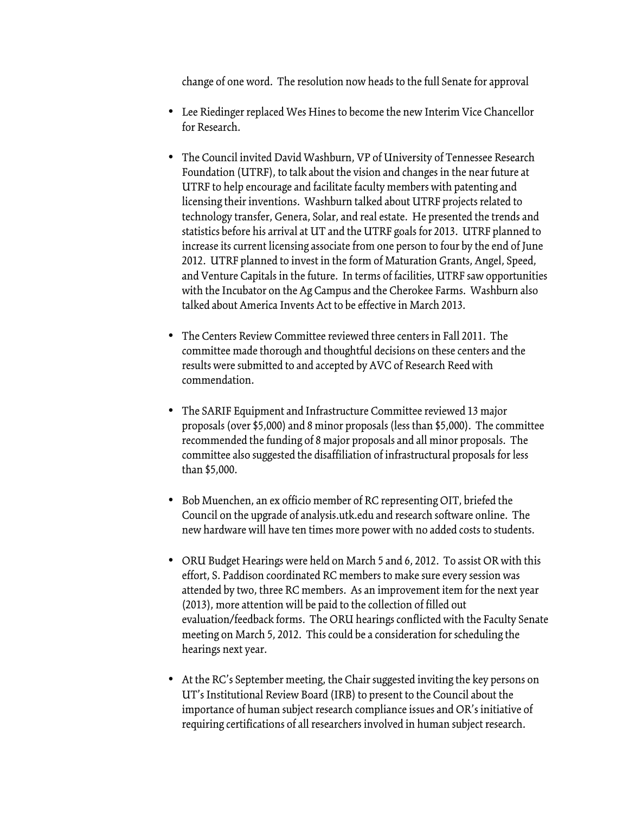change of one word. The resolution now heads to the full Senate for approval

- Lee Riedinger replaced Wes Hines to become the new Interim Vice Chancellor for Research.
- The Council invited David Washburn, VP of University of Tennessee Research Foundation (UTRF), to talk about the vision and changes in the near future at UTRF to help encourage and facilitate faculty members with patenting and licensing their inventions. Washburn talked about UTRF projects related to technology transfer, Genera, Solar, and real estate. He presented the trends and statistics before his arrival at UT and the UTRF goals for 2013. UTRF planned to increase its current licensing associate from one person to four by the end of June 2012. UTRF planned to invest in the form of Maturation Grants, Angel, Speed, and Venture Capitals in the future. In terms of facilities, UTRF saw opportunities with the Incubator on the Ag Campus and the Cherokee Farms. Washburn also talked about America Invents Act to be effective in March 2013.
- The Centers Review Committee reviewed three centers in Fall 2011. The committee made thorough and thoughtful decisions on these centers and the results were submitted to and accepted by AVC of Research Reed with commendation.
- The SARIF Equipment and Infrastructure Committee reviewed 13 major proposals (over \$5,000) and 8 minor proposals (less than \$5,000). The committee recommended the funding of 8 major proposals and all minor proposals. The committee also suggested the disaffiliation of infrastructural proposals for less than \$5,000.
- Bob Muenchen, an ex officio member of RC representing OIT, briefed the Council on the upgrade of analysis.utk.edu and research software online. The new hardware will have ten times more power with no added costs to students.
- ORU Budget Hearings were held on March 5 and 6, 2012. To assist OR with this effort, S. Paddison coordinated RC members to make sure every session was attended by two, three RC members. As an improvement item for the next year (2013), more attention will be paid to the collection of filled out evaluation/feedback forms. The ORU hearings conflicted with the Faculty Senate meeting on March 5, 2012. This could be a consideration for scheduling the hearings next year.
- At the RC's September meeting, the Chair suggested inviting the key persons on UT's Institutional Review Board (IRB) to present to the Council about the importance of human subject research compliance issues and OR's initiative of requiring certifications of all researchers involved in human subject research.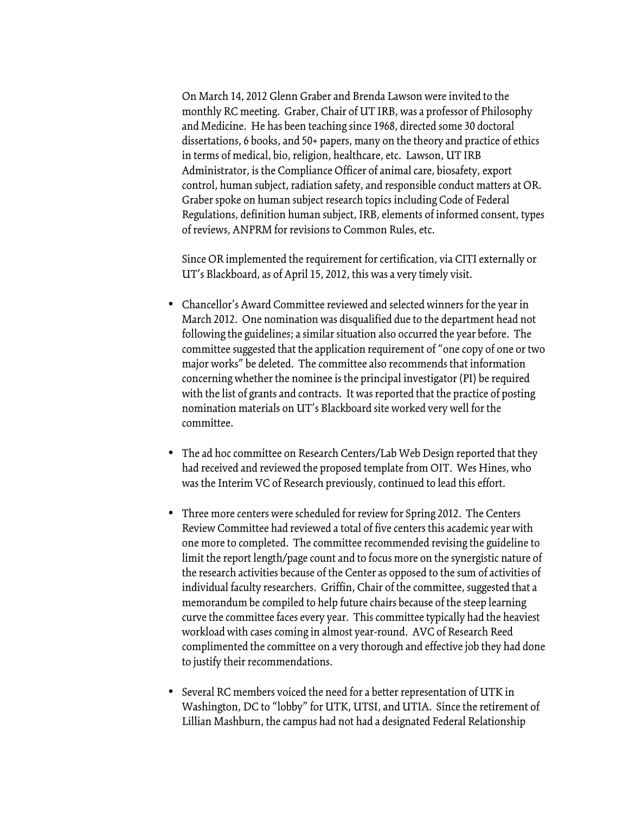On March 14, 2012 Glenn Graber and Brenda Lawson were invited to the monthly RC meeting. Graber, Chair of UT IRB, was a professor of Philosophy and Medicine. He has been teaching since 1968, directed some 30 doctoral dissertations, 6 books, and 50+ papers, many on the theory and practice of ethics in terms of medical, bio, religion, healthcare, etc. Lawson, UT IRB Administrator, is the Compliance Officer of animal care, biosafety, export control, human subject, radiation safety, and responsible conduct matters at OR. Graber spoke on human subject research topics including Code of Federal Regulations, definition human subject, IRB, elements of informed consent, types of reviews, ANPRM for revisions to Common Rules, etc.

Since OR implemented the requirement for certification, via CITI externally or UT's Blackboard, as of April 15, 2012, this was a very timely visit.

- Chancellor's Award Committee reviewed and selected winners for the year in March 2012. One nomination was disqualified due to the department head not following the guidelines; a similar situation also occurred the year before. The committee suggested that the application requirement of "one copy of one or two major works" be deleted. The committee also recommends that information concerning whether the nominee is the principal investigator (PI) be required with the list of grants and contracts. It was reported that the practice of posting nomination materials on UT's Blackboard site worked very well for the committee.
- The ad hoc committee on Research Centers/Lab Web Design reported that they had received and reviewed the proposed template from OIT. Wes Hines, who was the Interim VC of Research previously, continued to lead this effort.
- Three more centers were scheduled for review for Spring 2012. The Centers Review Committee had reviewed a total of five centers this academic year with one more to completed. The committee recommended revising the guideline to limit the report length/page count and to focus more on the synergistic nature of the research activities because of the Center as opposed to the sum of activities of individual faculty researchers. Griffin, Chair of the committee, suggested that a memorandum be compiled to help future chairs because of the steep learning curve the committee faces every year. This committee typically had the heaviest workload with cases coming in almost year-round. AVC of Research Reed complimented the committee on a very thorough and effective job they had done to justify their recommendations.
- Several RC members voiced the need for a better representation of UTK in Washington, DC to "lobby" for UTK, UTSI, and UTIA. Since the retirement of Lillian Mashburn, the campus had not had a designated Federal Relationship